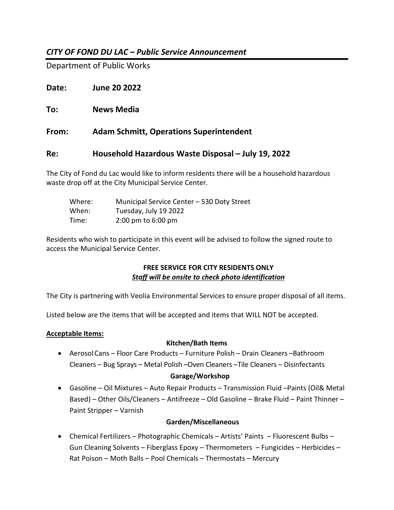# *CITY OF FOND DU LAC – Public Service Announcement*

Department of Public Works

**Date: June 20 2022**

**To: News Media**

**From: Adam Schmitt, Operations Superintendent**

## **Re: Household Hazardous Waste Disposal – July 19, 2022**

The City of Fond du Lac would like to inform residents there will be a household hazardous waste drop off at the City Municipal Service Center.

| Where: | Municipal Service Center - 530 Doty Street |
|--------|--------------------------------------------|
| When:  | Tuesday, July 19 2022                      |
| Time:  | $2:00 \text{ pm}$ to 6:00 pm               |

Residents who wish to participate in this event will be advised to follow the signed route to access the Municipal Service Center.

### **FREE SERVICE FOR CITY RESIDENTS ONLY** *Staff will be onsite to check photo identification*

The City is partnering with Veolia Environmental Services to ensure proper disposal of all items.

Listed below are the items that will be accepted and items that WILL NOT be accepted.

### **Acceptable Items:**

### **Kitchen/Bath Items**

• AerosolCans – Floor Care Products – Furniture Polish – Drain Cleaners –Bathroom Cleaners – Bug Sprays – Metal Polish –Oven Cleaners –Tile Cleaners – Disinfectants

### **Garage/Workshop**

• Gasoline – Oil Mixtures – Auto Repair Products – Transmission Fluid –Paints (Oil& Metal Based) – Other Oils/Cleaners – Antifreeze – Old Gasoline – Brake Fluid – Paint Thinner – Paint Stripper – Varnish

### **Garden/Miscellaneous**

• Chemical Fertilizers – Photographic Chemicals – Artists' Paints – Fluorescent Bulbs – Gun Cleaning Solvents – Fiberglass Epoxy – Thermometers – Fungicides – Herbicides – Rat Poison – Moth Balls – Pool Chemicals – Thermostats – Mercury